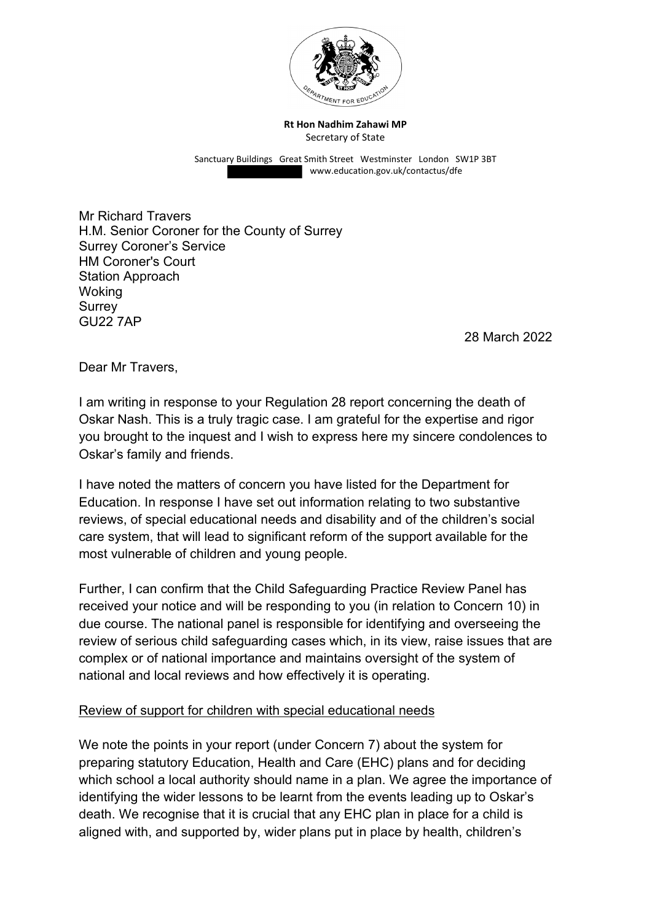

**Rt Hon Nadhim Zahawi MP** Secretary of State

Sanctuary Buildings Great Smith Street Westminster London SW1P 3BT www.education.gov.uk/contactus/dfe

Mr Richard Travers H.M. Senior Coroner for the County of Surrey Surrey Coroner's Service HM Coroner's Court Station Approach Woking **Surrey** GU22 7AP

28 March 2022

Dear Mr Travers.

I am writing in response to your Regulation 28 report concerning the death of Oskar Nash. This is a truly tragic case. I am grateful for the expertise and rigor you brought to the inquest and I wish to express here my sincere condolences to Oskar's family and friends.

I have noted the matters of concern you have listed for the Department for Education. In response I have set out information relating to two substantive reviews, of special educational needs and disability and of the children's social care system, that will lead to significant reform of the support available for the most vulnerable of children and young people.

Further, I can confirm that the Child Safeguarding Practice Review Panel has received your notice and will be responding to you (in relation to Concern 10) in due course. The national panel is responsible for identifying and overseeing the review of serious child safeguarding cases which, in its view, raise issues that are complex or of national importance and maintains oversight of the system of national and local reviews and how effectively it is operating.

## Review of support for children with special educational needs

We note the points in your report (under Concern 7) about the system for preparing statutory Education, Health and Care (EHC) plans and for deciding which school a local authority should name in a plan. We agree the importance of identifying the wider lessons to be learnt from the events leading up to Oskar's death. We recognise that it is crucial that any EHC plan in place for a child is aligned with, and supported by, wider plans put in place by health, children's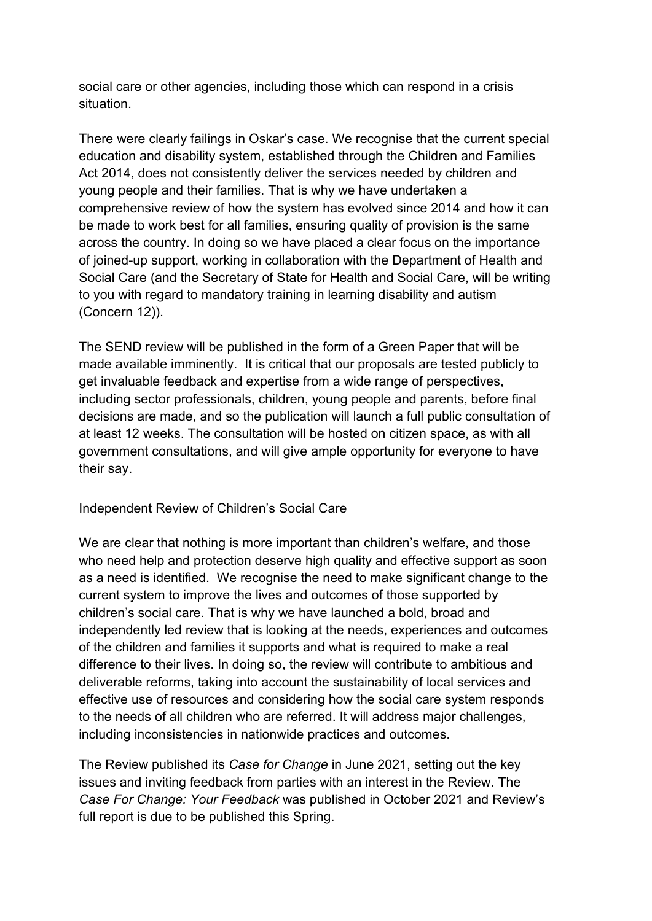social care or other agencies, including those which can respond in a crisis situation.

There were clearly failings in Oskar's case. We recognise that the current special education and disability system, established through the Children and Families Act 2014, does not consistently deliver the services needed by children and young people and their families. That is why we have undertaken a comprehensive review of how the system has evolved since 2014 and how it can be made to work best for all families, ensuring quality of provision is the same across the country. In doing so we have placed a clear focus on the importance of joined-up support, working in collaboration with the Department of Health and Social Care (and the Secretary of State for Health and Social Care, will be writing to you with regard to mandatory training in learning disability and autism (Concern 12)).

The SEND review will be published in the form of a Green Paper that will be made available imminently. It is critical that our proposals are tested publicly to get invaluable feedback and expertise from a wide range of perspectives, including sector professionals, children, young people and parents, before final decisions are made, and so the publication will launch a full public consultation of at least 12 weeks. The consultation will be hosted on citizen space, as with all government consultations, and will give ample opportunity for everyone to have their say.

## Independent Review of Children's Social Care

We are clear that nothing is more important than children's welfare, and those who need help and protection deserve high quality and effective support as soon as a need is identified. We recognise the need to make significant change to the current system to improve the lives and outcomes of those supported by children's social care. That is why we have launched a bold, broad and independently led review that is looking at the needs, experiences and outcomes of the children and families it supports and what is required to make a real difference to their lives. In doing so, the review will contribute to ambitious and deliverable reforms, taking into account the sustainability of local services and effective use of resources and considering how the social care system responds to the needs of all children who are referred. It will address major challenges, including inconsistencies in nationwide practices and outcomes.

The Review published its *Case for Change* in June 2021, setting out the key issues and inviting feedback from parties with an interest in the Review. The *Case For Change: Your Feedback* was published in October 2021 and Review's full report is due to be published this Spring.